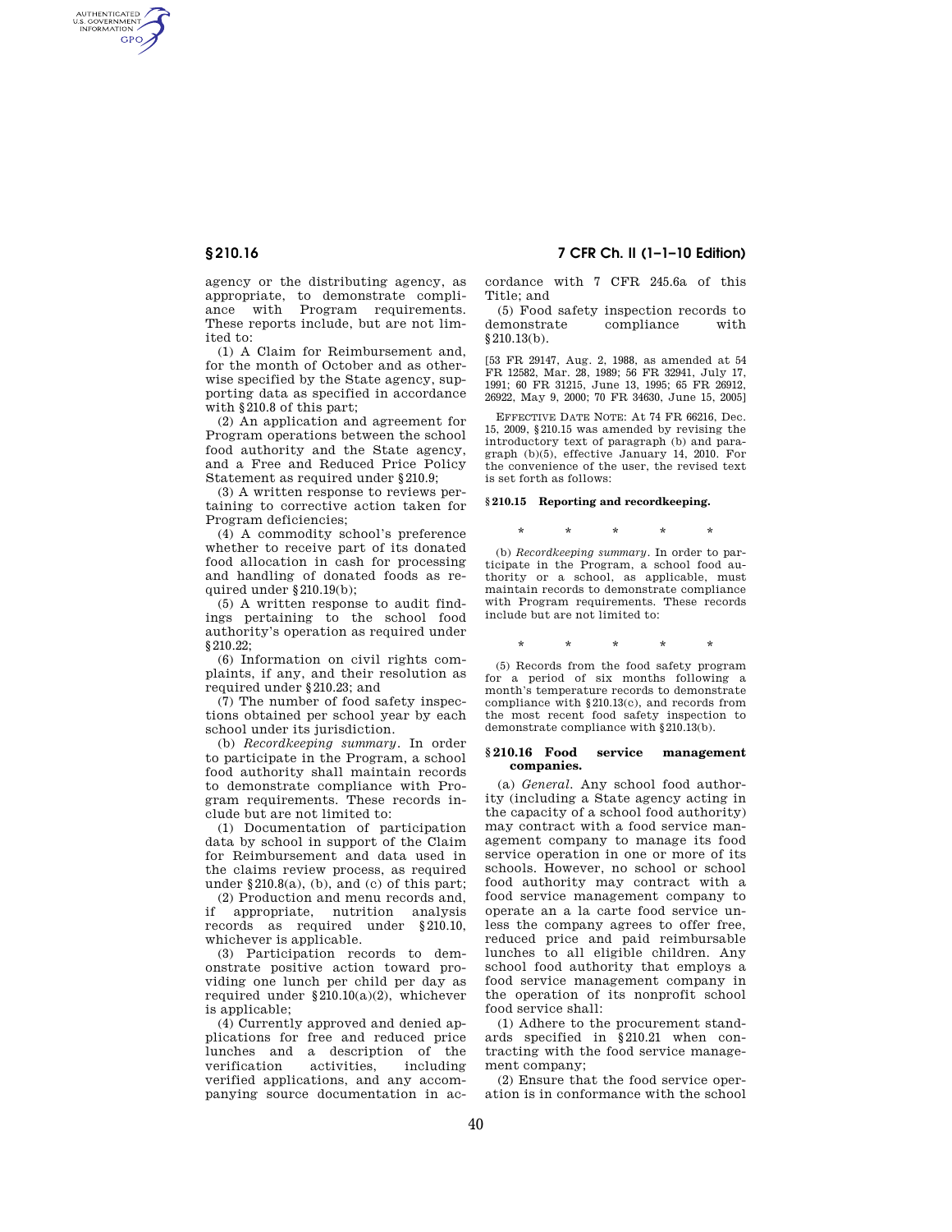AUTHENTICATED<br>U.S. GOVERNMENT<br>INFORMATION GPO

> agency or the distributing agency, as appropriate, to demonstrate compliance with Program requirements. These reports include, but are not limited to:

> (1) A Claim for Reimbursement and, for the month of October and as otherwise specified by the State agency, supporting data as specified in accordance with §210.8 of this part;

> (2) An application and agreement for Program operations between the school food authority and the State agency, and a Free and Reduced Price Policy Statement as required under \$210.9;

> (3) A written response to reviews pertaining to corrective action taken for Program deficiencies;

> (4) A commodity school's preference whether to receive part of its donated food allocation in cash for processing and handling of donated foods as required under §210.19(b);

> (5) A written response to audit findings pertaining to the school food authority's operation as required under §210.22;

> (6) Information on civil rights complaints, if any, and their resolution as required under §210.23; and

> (7) The number of food safety inspections obtained per school year by each school under its jurisdiction.

> (b) *Recordkeeping summary.* In order to participate in the Program, a school food authority shall maintain records to demonstrate compliance with Program requirements. These records include but are not limited to:

> (1) Documentation of participation data by school in support of the Claim for Reimbursement and data used in the claims review process, as required under  $§210.8(a)$ , (b), and (c) of this part;

> (2) Production and menu records and, if appropriate, nutrition analysis records as required under §210.10, whichever is applicable.

> (3) Participation records to demonstrate positive action toward providing one lunch per child per day as required under §210.10(a)(2), whichever is applicable;

> (4) Currently approved and denied applications for free and reduced price lunches and a description of the verification activities including verified applications, and any accompanying source documentation in ac-

**§ 210.16 7 CFR Ch. II (1–1–10 Edition)** 

cordance with 7 CFR 245.6a of this Title; and

(5) Food safety inspection records to demonstrate compliance with §210.13(b).

[53 FR 29147, Aug. 2, 1988, as amended at 54 FR 12582, Mar. 28, 1989; 56 FR 32941, July 17, 1991; 60 FR 31215, June 13, 1995; 65 FR 26912, 26922, May 9, 2000; 70 FR 34630, June 15, 2005]

EFFECTIVE DATE NOTE: At 74 FR 66216, Dec. 15, 2009, §210.15 was amended by revising the introductory text of paragraph (b) and paragraph (b)(5), effective January 14, 2010. For the convenience of the user, the revised text is set forth as follows:

### **§ 210.15 Reporting and recordkeeping.**

\* \* \* \* \*

(b) *Recordkeeping summary.* In order to participate in the Program, a school food authority or a school, as applicable, must maintain records to demonstrate compliance with Program requirements. These records include but are not limited to:

## \* \* \* \* \*

(5) Records from the food safety program for a period of six months following a month's temperature records to demonstrate compliance with §210.13(c), and records from the most recent food safety inspection to demonstrate compliance with §210.13(b).

### **§ 210.16 Food service management companies.**

(a) *General.* Any school food authority (including a State agency acting in the capacity of a school food authority) may contract with a food service management company to manage its food service operation in one or more of its schools. However, no school or school food authority may contract with a food service management company to operate an a la carte food service unless the company agrees to offer free, reduced price and paid reimbursable lunches to all eligible children. Any school food authority that employs a food service management company in the operation of its nonprofit school food service shall:

(1) Adhere to the procurement standards specified in §210.21 when contracting with the food service management company;

(2) Ensure that the food service operation is in conformance with the school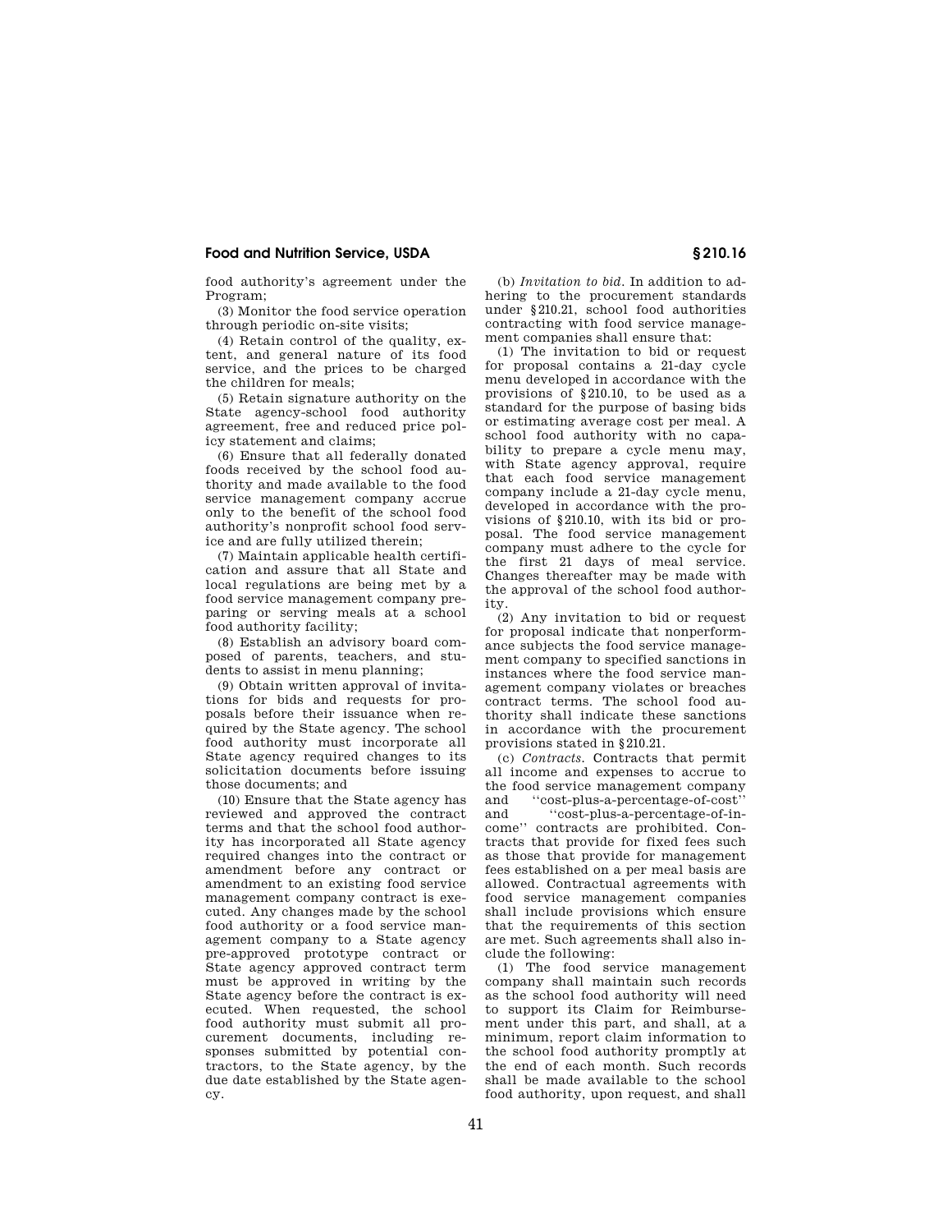# **Food and Nutrition Service, USDA § 210.16**

food authority's agreement under the Program;

(3) Monitor the food service operation through periodic on-site visits;

(4) Retain control of the quality, extent, and general nature of its food service, and the prices to be charged the children for meals;

(5) Retain signature authority on the State agency-school food authority agreement, free and reduced price policy statement and claims;

(6) Ensure that all federally donated foods received by the school food authority and made available to the food service management company accrue only to the benefit of the school food authority's nonprofit school food service and are fully utilized therein;

(7) Maintain applicable health certification and assure that all State and local regulations are being met by a food service management company preparing or serving meals at a school food authority facility;

(8) Establish an advisory board composed of parents, teachers, and students to assist in menu planning;

(9) Obtain written approval of invitations for bids and requests for proposals before their issuance when required by the State agency. The school food authority must incorporate all State agency required changes to its solicitation documents before issuing those documents; and

(10) Ensure that the State agency has reviewed and approved the contract terms and that the school food authority has incorporated all State agency required changes into the contract or amendment before any contract or amendment to an existing food service management company contract is executed. Any changes made by the school food authority or a food service management company to a State agency pre-approved prototype contract or State agency approved contract term must be approved in writing by the State agency before the contract is executed. When requested, the school food authority must submit all procurement documents, including responses submitted by potential contractors, to the State agency, by the due date established by the State agency.

(b) *Invitation to bid.* In addition to adhering to the procurement standards under §210.21, school food authorities contracting with food service management companies shall ensure that:

(1) The invitation to bid or request for proposal contains a 21-day cycle menu developed in accordance with the provisions of §210.10, to be used as a standard for the purpose of basing bids or estimating average cost per meal. A school food authority with no capability to prepare a cycle menu may, with State agency approval, require that each food service management company include a 21-day cycle menu, developed in accordance with the provisions of §210.10, with its bid or proposal. The food service management company must adhere to the cycle for the first 21 days of meal service. Changes thereafter may be made with the approval of the school food authority.

(2) Any invitation to bid or request for proposal indicate that nonperformance subjects the food service management company to specified sanctions in instances where the food service management company violates or breaches contract terms. The school food authority shall indicate these sanctions in accordance with the procurement provisions stated in §210.21.

(c) *Contracts.* Contracts that permit all income and expenses to accrue to the food service management company and ''cost-plus-a-percentage-of-cost'' "cost-plus-a-percentage-of-income'' contracts are prohibited. Contracts that provide for fixed fees such as those that provide for management fees established on a per meal basis are allowed. Contractual agreements with food service management companies shall include provisions which ensure that the requirements of this section are met. Such agreements shall also include the following:

(1) The food service management company shall maintain such records as the school food authority will need to support its Claim for Reimbursement under this part, and shall, at a minimum, report claim information to the school food authority promptly at the end of each month. Such records shall be made available to the school food authority, upon request, and shall